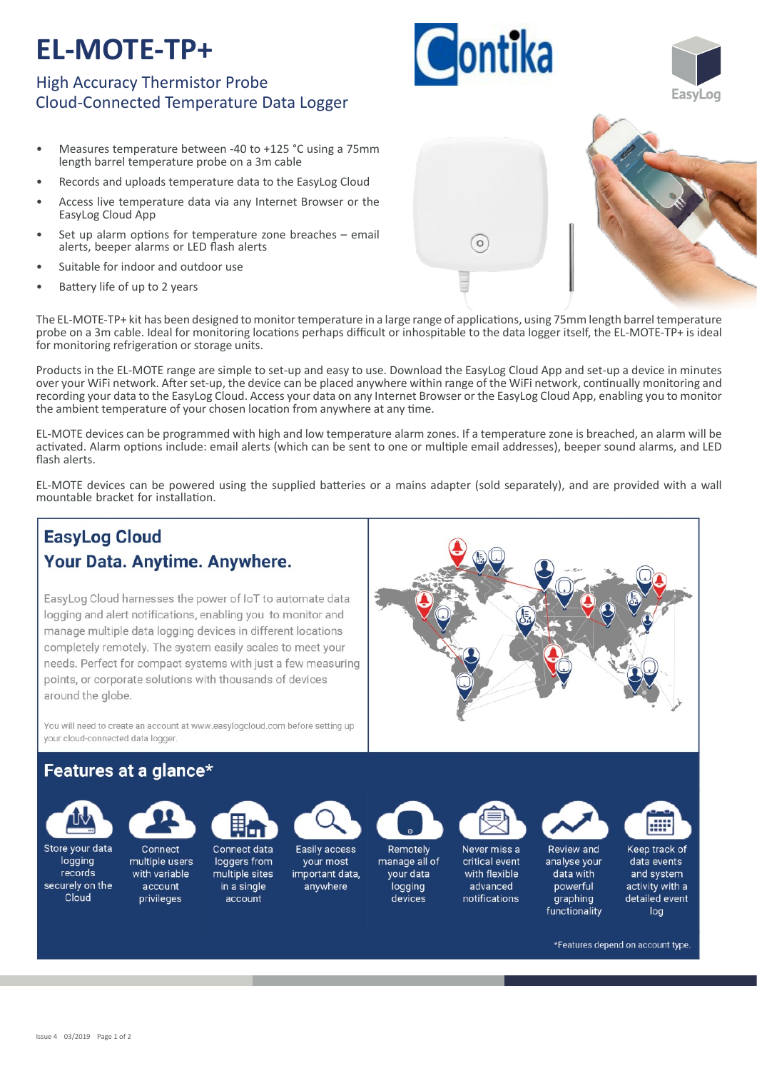# **EL-MOTE-TP+**

### High Accuracy Thermistor Probe Cloud-Connected Temperature Data Logger

- Measures temperature between -40 to +125 °C using a 75mm length barrel temperature probe on a 3m cable
- Records and uploads temperature data to the EasyLog Cloud
- Access live temperature data via any Internet Browser or the EasyLog Cloud App
- Set up alarm options for temperature zone breaches  $-$  email alerts, beeper alarms or LED flash alerts
- Suitable for indoor and outdoor use
- Battery life of up to 2 years

The EL-MOTE-TP+ kit has been designed to monitor temperature in a large range of applications, using 75mm length barrel temperature probe on a 3m cable. Ideal for monitoring locations perhaps difficult or inhospitable to the data logger itself, the EL-MOTE-TP+ is ideal for monitoring refrigeration or storage units.

Products in the EL-MOTE range are simple to set-up and easy to use. Download the EasyLog Cloud App and set-up a device in minutes over your WiFi network. After set-up, the device can be placed anywhere within range of the WiFi network, continually monitoring and recording your data to the EasyLog Cloud. Access your data on any Internet Browser or the EasyLog Cloud App, enabling you to monitor the ambient temperature of your chosen location from anywhere at any time.

EL‐MOTE devices can be programmed with high and low temperature alarm zones. If a temperature zone is breached, an alarm will be activated. Alarm options include: email alerts (which can be sent to one or multiple email addresses), beeper sound alarms, and LED flash alerts.

EL-MOTE devices can be powered using the supplied batteries or a mains adapter (sold separately), and are provided with a wall mountable bracket for installation.

## **EasyLog Cloud** Your Data. Anytime. Anywhere.

EasyLog Cloud harnesses the power of IoT to automate data logging and alert notifications, enabling you to monitor and manage multiple data logging devices in different locations completely remotely. The system easily scales to meet your needs. Perfect for compact systems with just a few measuring points, or corporate solutions with thousands of devices around the globe.

You will need to create an account at www.easylogcloud.com before setting up your cloud-connected data logger.

### Features at a glance\*



Store your data Connect

logging multiple users records with variable securely on the account Cloud privileges

Connect data loggers from multiple sites in a single



Easily access

your most



Remotely manage all of your data logging devices



Never miss a critical event with flexible advanced notifications

Review and analyse your data with powerful graphing

functionality



Keep track of data events and system activity with a detailed event loa

\*Features depend on account type



**Montika**